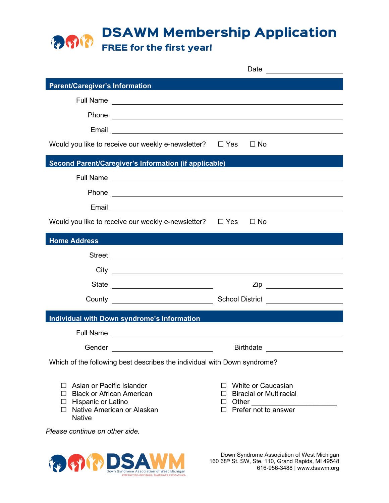**DSAWM Membership Application** 

FREE for the first year!

|                                                                                                                                                                                                                                     | Date                                                                                                                 |
|-------------------------------------------------------------------------------------------------------------------------------------------------------------------------------------------------------------------------------------|----------------------------------------------------------------------------------------------------------------------|
| <b>Parent/Caregiver's Information</b>                                                                                                                                                                                               |                                                                                                                      |
|                                                                                                                                                                                                                                     |                                                                                                                      |
|                                                                                                                                                                                                                                     |                                                                                                                      |
| Email                                                                                                                                                                                                                               | <u> Alexandria de la contrada de la contrada de la contrada de la contrada de la contrada de la contrada de la c</u> |
| Would you like to receive our weekly e-newsletter? $\Box$ Yes $\Box$ No                                                                                                                                                             |                                                                                                                      |
| <b>Second Parent/Caregiver's Information (if applicable)</b>                                                                                                                                                                        |                                                                                                                      |
|                                                                                                                                                                                                                                     |                                                                                                                      |
| Phone experience and the second contract of the second contract of the second contract of the second contract of the second contract of the second contract of the second contract of the second contract of the second contra      |                                                                                                                      |
| Email<br><u> 1980 - Jan Samuel Barbara, martin din samud al-</u>                                                                                                                                                                    |                                                                                                                      |
| Would you like to receive our weekly e-newsletter? $\Box$ Yes                                                                                                                                                                       | $\square$ No                                                                                                         |
| <b>Home Address</b>                                                                                                                                                                                                                 |                                                                                                                      |
|                                                                                                                                                                                                                                     |                                                                                                                      |
|                                                                                                                                                                                                                                     |                                                                                                                      |
|                                                                                                                                                                                                                                     |                                                                                                                      |
|                                                                                                                                                                                                                                     |                                                                                                                      |
| <b>Individual with Down syndrome's Information</b>                                                                                                                                                                                  |                                                                                                                      |
| Full Name <u>experience</u> and the series of the series of the series of the series of the series of the series of the series of the series of the series of the series of the series of the series of the series of the series of |                                                                                                                      |
| Gender<br><u> 1989 - John Harry Harry Harry Harry Harry Harry Harry Harry Harry Harry Harry Harry Harry Harry Harry Harry</u>                                                                                                       | <b>Birthdate</b>                                                                                                     |
| Which of the following best describes the individual with Down syndrome?                                                                                                                                                            |                                                                                                                      |
|                                                                                                                                                                                                                                     |                                                                                                                      |
| $\Box$ Asian or Pacific Islander<br>$\Box$ Black or African American                                                                                                                                                                | White or Caucasian<br>П.<br>$\Box$ Biracial or Multiracial                                                           |
| $\Box$ Hispanic or Latino<br>□ Native American or Alaskan                                                                                                                                                                           | □ Other ______________________<br>$\Box$ Prefer not to answer                                                        |
| <b>Native</b>                                                                                                                                                                                                                       |                                                                                                                      |
| Please continue on other side.                                                                                                                                                                                                      |                                                                                                                      |
|                                                                                                                                                                                                                                     | Down Syndromo Association of West Michigan                                                                           |

**THE REAL PROPERTY OF SYNCHOLD A SSOCIATION OF WEST MICHAEL SERVICE ASSOCIATION**